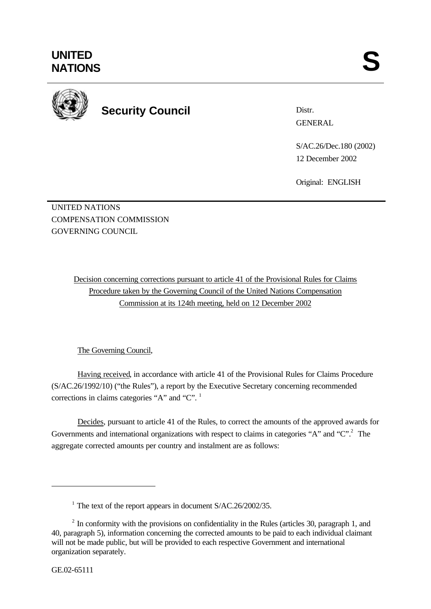

**Security Council**

Distr. GENERAL

S/AC.26/Dec.180 (2002) 12 December 2002

Original: ENGLISH

UNITED NATIONS COMPENSATION COMMISSION GOVERNING COUNCIL

> Decision concerning corrections pursuant to article 41 of the Provisional Rules for Claims Procedure taken by the Governing Council of the United Nations Compensation Commission at its 124th meeting, held on 12 December 2002

## The Governing Council,

Having received, in accordance with article 41 of the Provisional Rules for Claims Procedure (S/AC.26/1992/10) ("the Rules"), a report by the Executive Secretary concerning recommended corrections in claims categories "A" and " $C$ ".<sup>1</sup>

Decides, pursuant to article 41 of the Rules, to correct the amounts of the approved awards for Governments and international organizations with respect to claims in categories "A" and " $C$ ".<sup>2</sup> The aggregate corrected amounts per country and instalment are as follows:

l

<sup>&</sup>lt;sup>1</sup> The text of the report appears in document S/AC.26/2002/35.

 $2<sup>2</sup>$  In conformity with the provisions on confidentiality in the Rules (articles 30, paragraph 1, and 40, paragraph 5), information concerning the corrected amounts to be paid to each individual claimant will not be made public, but will be provided to each respective Government and international organization separately.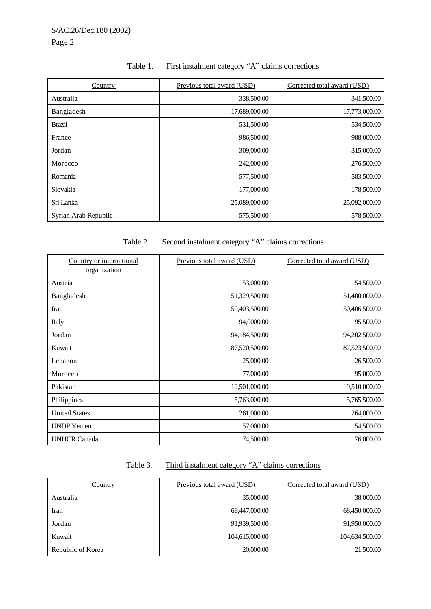|--|

| Country              | Previous total award (USD) | Corrected total award (USD) |
|----------------------|----------------------------|-----------------------------|
| Australia            | 338,500.00                 | 341,500.00                  |
| Bangladesh           | 17,689,000.00              | 17,773,000.00               |
| <b>Brazil</b>        | 531,500.00                 | 534,500.00                  |
| France               | 986,500.00                 | 988,000.00                  |
| Jordan               | 309,000.00                 | 315,000.00                  |
| Morocco              | 242,000.00                 | 276,500.00                  |
| Romania              | 577,500.00                 | 583,500.00                  |
| Slovakia             | 177,000.00                 | 178,500.00                  |
| Sri Lanka            | 25,089,000.00              | 25,092,000.00               |
| Syrian Arab Republic | 575,500.00                 | 578,500.00                  |

### Table 2. Second instalment category "A" claims corrections

| Country or international<br>organization | Previous total award (USD) | Corrected total award (USD) |
|------------------------------------------|----------------------------|-----------------------------|
| Austria                                  | 53,000.00                  | 54,500.00                   |
| Bangladesh                               | 51,329,500.00              | 51,400,000.00               |
| Iran                                     | 50,403,500.00              | 50,406,500.00               |
| Italy                                    | 94,0000.00                 | 95,500.00                   |
| Jordan                                   | 94,184,500.00              | 94,202,500.00               |
| Kuwait                                   | 87,520,500.00              | 87,523,500.00               |
| Lebanon                                  | 25,000.00                  | 26,500.00                   |
| Morocco                                  | 77,000.00                  | 95,000.00                   |
| Pakistan                                 | 19,501,000.00              | 19,510,000.00               |
| Philippines                              | 5,763,000.00               | 5,765,500.00                |
| <b>United States</b>                     | 261,000.00                 | 264,000.00                  |
| <b>UNDP</b> Yemen                        | 57,000.00                  | 54,500.00                   |
| <b>UNHCR Canada</b>                      | 74,500.00                  | 76,000.00                   |

# Table 3. Third instalment category "A" claims corrections

| Country           | Previous total award (USD) | Corrected total award (USD) |
|-------------------|----------------------------|-----------------------------|
| Australia         | 35,000.00                  | 38,000.00                   |
| Iran              | 68,447,000.00              | 68,450,000.00               |
| Jordan            | 91,939,500.00              | 91,950,000.00               |
| Kuwait            | 104,615,000.00             | 104,634,500.00              |
| Republic of Korea | 20,000.00                  | 21,500.00                   |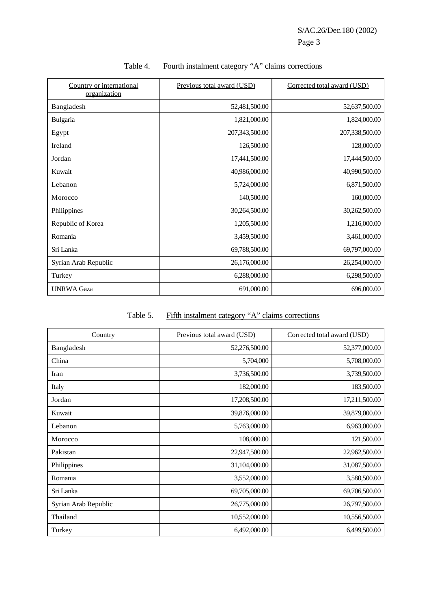| Country or international<br>organization | Previous total award (USD) | Corrected total award (USD) |
|------------------------------------------|----------------------------|-----------------------------|
| Bangladesh                               | 52,481,500.00              | 52,637,500.00               |
| Bulgaria                                 | 1,821,000.00               | 1,824,000.00                |
| Egypt                                    | 207,343,500.00             | 207,338,500.00              |
| Ireland                                  | 126,500.00                 | 128,000.00                  |
| Jordan                                   | 17,441,500.00              | 17,444,500.00               |
| Kuwait                                   | 40,986,000.00              | 40,990,500.00               |
| Lebanon                                  | 5,724,000.00               | 6,871,500.00                |
| Morocco                                  | 140,500.00                 | 160,000.00                  |
| Philippines                              | 30,264,500.00              | 30,262,500.00               |
| Republic of Korea                        | 1,205,500.00               | 1,216,000.00                |
| Romania                                  | 3,459,500.00               | 3,461,000.00                |
| Sri Lanka                                | 69,788,500.00              | 69,797,000.00               |
| Syrian Arab Republic                     | 26,176,000.00              | 26,254,000.00               |
| Turkey                                   | 6,288,000.00               | 6,298,500.00                |
| <b>UNRWA Gaza</b>                        | 691,000.00                 | 696,000.00                  |

#### Table 4. Fourth instalment category "A" claims corrections

# Table 5. Fifth instalment category "A" claims corrections

| <b>Country</b>       | Previous total award (USD) | Corrected total award (USD) |
|----------------------|----------------------------|-----------------------------|
| Bangladesh           | 52,276,500.00              | 52,377,000.00               |
| China                | 5,704,000                  | 5,708,000.00                |
| Iran                 | 3,736,500.00               | 3,739,500.00                |
| Italy                | 182,000.00                 | 183,500.00                  |
| Jordan               | 17,208,500.00              | 17,211,500.00               |
| Kuwait               | 39,876,000.00              | 39,879,000.00               |
| Lebanon              | 5,763,000.00               | 6,963,000.00                |
| Morocco              | 108,000.00                 | 121,500.00                  |
| Pakistan             | 22,947,500.00              | 22,962,500.00               |
| Philippines          | 31,104,000.00              | 31,087,500.00               |
| Romania              | 3,552,000.00               | 3,580,500.00                |
| Sri Lanka            | 69,705,000.00              | 69,706,500.00               |
| Syrian Arab Republic | 26,775,000.00              | 26,797,500.00               |
| Thailand             | 10,552,000.00              | 10,556,500.00               |
| Turkey               | 6,492,000.00               | 6,499,500.00                |